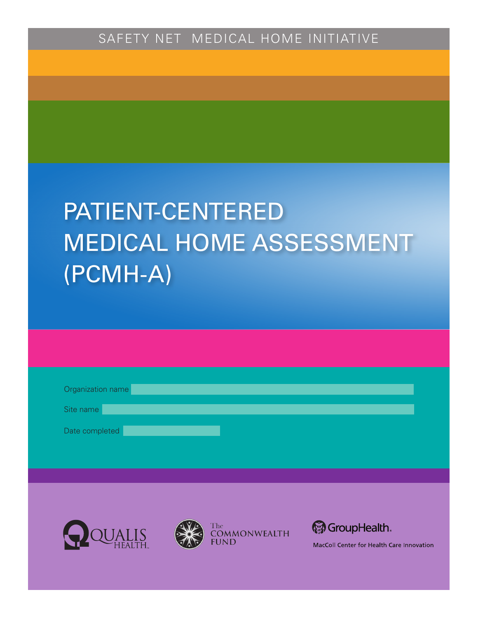# PATIENT-CENTERED MEDICAL HOME ASSESSMENT (PCMH-A)

| Organization name |  |  |  |
|-------------------|--|--|--|
| Site name         |  |  |  |
| Date completed    |  |  |  |
|                   |  |  |  |







MacColl Center for Health Care Innovation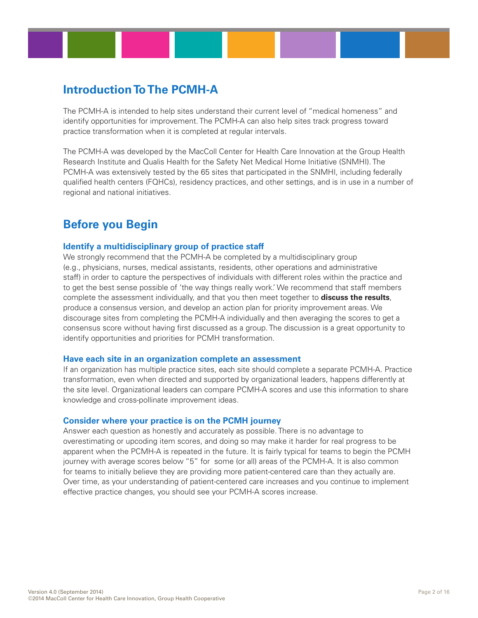## **Introduction To The PCMH-A**

The PCMH-A is intended to help sites understand their current level of "medical homeness" and identify opportunities for improvement. The PCMH-A can also help sites track progress toward practice transformation when it is completed at regular intervals.

The PCMH-A was developed by the MacColl Center for Health Care Innovation at the Group Health Research Institute and Qualis Health for the Safety Net Medical Home Initiative (SNMHI). The PCMH-A was extensively tested by the 65 sites that participated in the SNMHI, including federally qualified health centers (FQHCs), residency practices, and other settings, and is in use in a number of regional and national initiatives.

## **Before you Begin**

#### **Identify a multidisciplinary group of practice staff**

We strongly recommend that the PCMH-A be completed by a multidisciplinary group (e.g., physicians, nurses, medical assistants, residents, other operations and administrative staff) in order to capture the perspectives of individuals with different roles within the practice and to get the best sense possible of 'the way things really work.' We recommend that staff members complete the assessment individually, and that you then meet together to **discuss the results**, produce a consensus version, and develop an action plan for priority improvement areas. We discourage sites from completing the PCMH-A individually and then averaging the scores to get a consensus score without having first discussed as a group. The discussion is a great opportunity to identify opportunities and priorities for PCMH transformation.

#### **Have each site in an organization complete an assessment**

If an organization has multiple practice sites, each site should complete a separate PCMH-A. Practice transformation, even when directed and supported by organizational leaders, happens differently at the site level. Organizational leaders can compare PCMH-A scores and use this information to share knowledge and cross-pollinate improvement ideas.

#### **Consider where your practice is on the PCMH journey**

Answer each question as honestly and accurately as possible. There is no advantage to overestimating or upcoding item scores, and doing so may make it harder for real progress to be apparent when the PCMH-A is repeated in the future. It is fairly typical for teams to begin the PCMH journey with average scores below "5" for some (or all) areas of the PCMH-A. It is also common for teams to initially believe they are providing more patient-centered care than they actually are. Over time, as your understanding of patient-centered care increases and you continue to implement effective practice changes, you should see your PCMH-A scores increase.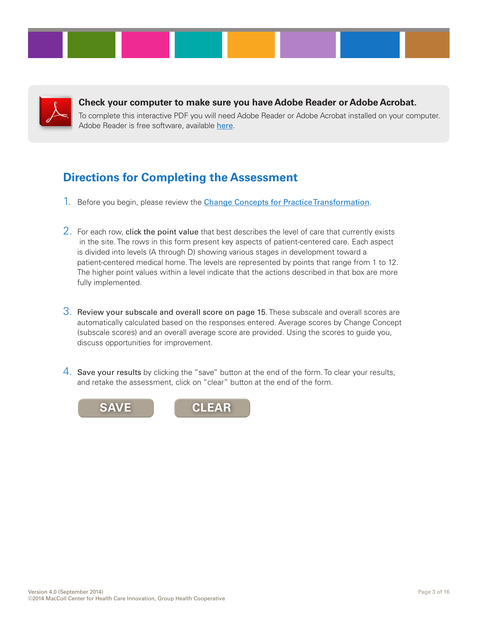

**Check your computer to make sure you have Adobe Reader or Adobe Acrobat.** 

To complete this interactive PDF you will need Adobe Reader or Adobe Acrobat installed on your computer. Adobe Reader is free software, available [here](http://get.adobe.com/reader/).

# **Directions for Completing the Assessment**

- 1. Before you begin, please review the **[Change Concepts for Practice Transformation](http://www.safetynetmedicalhome.org/change-concepts)**.
- 2. For each row, click the point value that best describes the level of care that currently exists in the site. The rows in this form present key aspects of patient-centered care. Each aspect is divided into levels (A through D) showing various stages in development toward a patient-centered medical home. The levels are represented by points that range from 1 to 12. The higher point values within a level indicate that the actions described in that box are more fully implemented.
- 3. Review your subscale and overall score on page 15. These subscale and overall scores are automatically calculated based on the responses entered. Average scores by Change Concept (subscale scores) and an overall average score are provided. Using the scores to guide you, discuss opportunities for improvement.
- 4. Save your results by clicking the "save" button at the end of the form. To clear your results, and retake the assessment, click on "clear" button at the end of the form.

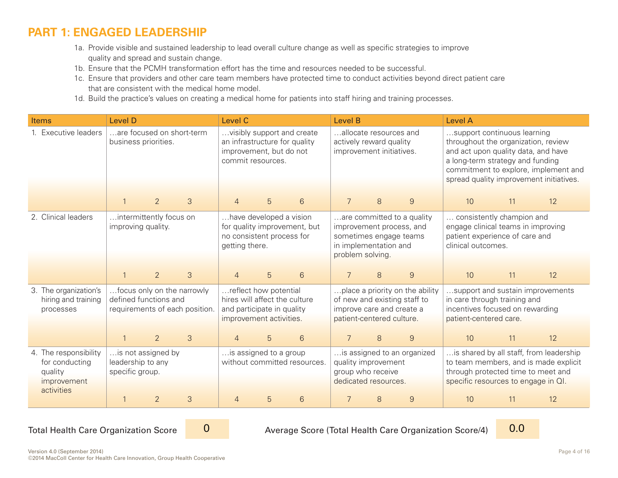## **[PART 1: ENGAGED LEADERSHIP](http://www.safetynetmedicalhome.org/change-concepts/engaged-leadership)**

- 1a. Provide visible and sustained leadership to lead overall culture change as well as specific strategies to improve quality and spread and sustain change.
- 1b. Ensure that the PCMH transformation effort has the time and resources needed to be successful.
- 1c. Ensure that providers and other care team members have protected time to conduct activities beyond direct patient care that are consistent with the medical home model.
- 1d. Build the practice's values on creating a medical home for patients into staff hiring and training processes.

| Items                                                                           | <b>Level D</b>                                             |                |                                | Level C                                                                                                         |                                                                                                             |                                                        | Level B                                                                                                                   |                                                                  |                             | <b>Level A</b>                                                                                                                                |    |                                                                                  |
|---------------------------------------------------------------------------------|------------------------------------------------------------|----------------|--------------------------------|-----------------------------------------------------------------------------------------------------------------|-------------------------------------------------------------------------------------------------------------|--------------------------------------------------------|---------------------------------------------------------------------------------------------------------------------------|------------------------------------------------------------------|-----------------------------|-----------------------------------------------------------------------------------------------------------------------------------------------|----|----------------------------------------------------------------------------------|
| 1. Executive leaders                                                            | are focused on short-term<br>business priorities.          |                |                                |                                                                                                                 | visibly support and create<br>an infrastructure for quality<br>improvement, but do not<br>commit resources. |                                                        | allocate resources and<br>actively reward quality<br>improvement initiatives.                                             |                                                                  |                             | support continuous learning<br>throughout the organization, review<br>and act upon quality data, and have<br>a long-term strategy and funding |    | commitment to explore, implement and<br>spread quality improvement initiatives.  |
|                                                                                 |                                                            | $\overline{2}$ | 3                              | $\overline{4}$                                                                                                  | 5                                                                                                           | 6                                                      | 7                                                                                                                         | 8                                                                | $\boldsymbol{9}$            | 10                                                                                                                                            | 11 | 12                                                                               |
| 2. Clinical leaders                                                             | intermittently focus on<br>improving quality.              |                |                                | getting there.                                                                                                  | have developed a vision<br>no consistent process for                                                        | for quality improvement, but                           | improvement process, and<br>sometimes engage teams<br>in implementation and<br>problem solving.                           |                                                                  | are committed to a quality  | consistently champion and<br>engage clinical teams in improving<br>patient experience of care and<br>clinical outcomes.                       |    |                                                                                  |
|                                                                                 |                                                            | $\overline{2}$ | 3                              | 5<br>6<br>$\overline{4}$                                                                                        |                                                                                                             |                                                        |                                                                                                                           | 8                                                                | 9                           | 10                                                                                                                                            | 11 | 12                                                                               |
| 3. The organization's<br>hiring and training<br>processes                       | focus only on the narrowly<br>defined functions and        |                | requirements of each position. | reflect how potential<br>hires will affect the culture<br>and participate in quality<br>improvement activities. |                                                                                                             |                                                        | place a priority on the ability<br>of new and existing staff to<br>improve care and create a<br>patient-centered culture. |                                                                  |                             | support and sustain improvements<br>in care through training and<br>incentives focused on rewarding<br>patient-centered care.                 |    |                                                                                  |
|                                                                                 |                                                            | $\overline{2}$ | 3                              | $\overline{4}$                                                                                                  | 5                                                                                                           | 6                                                      |                                                                                                                           | 8                                                                | 9                           | 10 <sup>1</sup>                                                                                                                               | 11 | 12                                                                               |
| 4. The responsibility<br>for conducting<br>quality<br>improvement<br>activities | is not assigned by<br>leadership to any<br>specific group. |                |                                |                                                                                                                 |                                                                                                             | is assigned to a group<br>without committed resources. |                                                                                                                           | quality improvement<br>group who receive<br>dedicated resources. | is assigned to an organized | through protected time to meet and<br>specific resources to engage in QI.                                                                     |    | is shared by all staff, from leadership<br>to team members, and is made explicit |
|                                                                                 |                                                            | $\overline{2}$ | 3                              | $\overline{4}$                                                                                                  | 5                                                                                                           | $6\phantom{1}$                                         |                                                                                                                           | 8                                                                | $\mathcal{G}$               | 10 <sup>°</sup>                                                                                                                               | 11 | 12                                                                               |

Total Health Care Organization Score

 $\Omega$ 

Average Score (Total Health Care Organization Score/4)

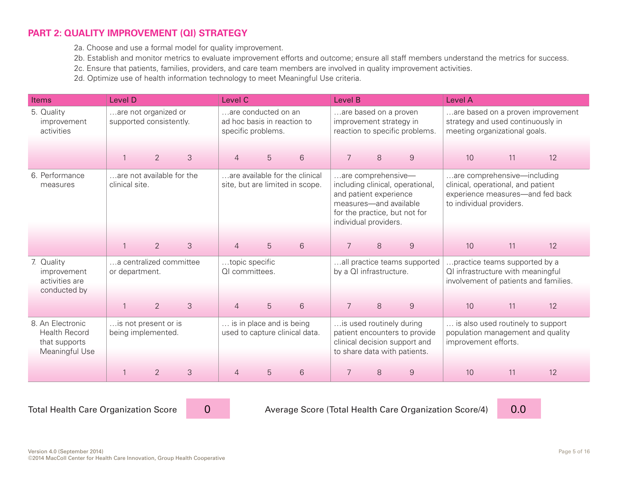#### **[PART 2: QUALITY IMPROVEMENT \(QI\) STRATEGY](http://www.safetynetmedicalhome.org/change-concepts/quality-improvement-strategy)**

2a. Choose and use a formal model for quality improvement.

2b. Establish and monitor metrics to evaluate improvement efforts and outcome; ensure all staff members understand the metrics for success.

2c. Ensure that patients, families, providers, and care team members are involved in quality improvement activities.

2d. Optimize use of health information technology to meet Meaningful Use criteria.

| <b>Items</b>                                                                | <b>Level D</b>                                  | Level C                                                                  | Level B                                                                                                                                                              | <b>Level A</b>                                                                                                                    |  |  |
|-----------------------------------------------------------------------------|-------------------------------------------------|--------------------------------------------------------------------------|----------------------------------------------------------------------------------------------------------------------------------------------------------------------|-----------------------------------------------------------------------------------------------------------------------------------|--|--|
| 5. Quality<br>improvement<br>activities                                     | are not organized or<br>supported consistently. | are conducted on an<br>ad hoc basis in reaction to<br>specific problems. | are based on a proven<br>improvement strategy in<br>reaction to specific problems.                                                                                   | are based on a proven improvement<br>strategy and used continuously in<br>meeting organizational goals.                           |  |  |
|                                                                             | $\overline{2}$<br>3                             | $6\phantom{1}$<br>5<br>$\overline{4}$                                    | $\overline{7}$<br>8<br>9                                                                                                                                             | 10<br>11<br>12                                                                                                                    |  |  |
| 6. Performance<br>measures                                                  | are not available for the<br>clinical site.     | are available for the clinical<br>site, but are limited in scope.        | are comprehensive-<br>including clinical, operational,<br>and patient experience<br>measures-and available<br>for the practice, but not for<br>individual providers. | are comprehensive-including<br>clinical, operational, and patient<br>experience measures-and fed back<br>to individual providers. |  |  |
|                                                                             | $\overline{2}$<br>$\mathcal{S}$                 | 5<br>$6\phantom{1}$<br>$\overline{4}$                                    | $\overline{7}$<br>8<br>$\boldsymbol{9}$                                                                                                                              | 10<br>11<br>12                                                                                                                    |  |  |
| 7. Quality<br>improvement<br>activities are<br>conducted by                 | a centralized committee<br>or department.       | topic specific<br>QI committees.                                         | all practice teams supported<br>by a QI infrastructure.                                                                                                              | practice teams supported by a<br>QI infrastructure with meaningful<br>involvement of patients and families.                       |  |  |
|                                                                             | $\overline{2}$<br>$\mathcal{S}$                 | 5<br>6<br>$\overline{4}$                                                 | 7<br>8<br>$\boldsymbol{9}$                                                                                                                                           | 12<br>10<br>11                                                                                                                    |  |  |
| 8. An Electronic<br><b>Health Record</b><br>that supports<br>Meaningful Use | is not present or is<br>being implemented.      | is in place and is being<br>used to capture clinical data.               | is used routinely during<br>patient encounters to provide<br>clinical decision support and<br>to share data with patients.                                           | is also used routinely to support<br>population management and quality<br>improvement efforts.                                    |  |  |
|                                                                             | $\overline{2}$<br>3                             | 6<br>5<br>$\overline{4}$                                                 | 7<br>8<br>9                                                                                                                                                          | 10<br>11<br>12                                                                                                                    |  |  |

0

Total Health Care Organization Score 20 20 20 20 Average Score (Total Health Care Organization Score/4) 2000 10

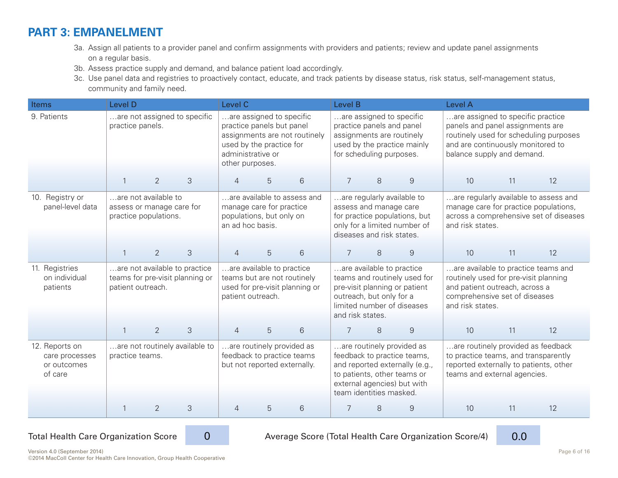## **[PART 3: EMPANELMENT](http://www.safetynetmedicalhome.org/change-concepts/empanelment)**

- 3a. Assign all patients to a provider panel and confirm assignments with providers and patients; review and update panel assignments on a regular basis.
- 3b. Assess practice supply and demand, and balance patient load accordingly.
- 3c. Use panel data and registries to proactively contact, educate, and track patients by disease status, risk status, self-management status, community and family need.

| <b>Items</b>                                               | Level D                                                                    |                |                                                                  | Level C<br>Level B |                                                                                                                 |                               |                  |                                                                                                                                                                                     |                                                                                             | <b>Level A</b>                                                                                                                                                      |                                                                                                                                                      |                                                                                 |
|------------------------------------------------------------|----------------------------------------------------------------------------|----------------|------------------------------------------------------------------|--------------------|-----------------------------------------------------------------------------------------------------------------|-------------------------------|------------------|-------------------------------------------------------------------------------------------------------------------------------------------------------------------------------------|---------------------------------------------------------------------------------------------|---------------------------------------------------------------------------------------------------------------------------------------------------------------------|------------------------------------------------------------------------------------------------------------------------------------------------------|---------------------------------------------------------------------------------|
| 9. Patients                                                | practice panels.                                                           |                | are not assigned to specific                                     | other purposes.    | are assigned to specific<br>practice panels but panel<br>used by the practice for<br>administrative or          | assignments are not routinely |                  | are assigned to specific<br>practice panels and panel<br>assignments are routinely<br>for scheduling purposes.                                                                      | used by the practice mainly                                                                 | are assigned to specific practice<br>panels and panel assignments are<br>and are continuously monitored to<br>balance supply and demand.                            |                                                                                                                                                      | routinely used for scheduling purposes                                          |
|                                                            |                                                                            | $\overline{2}$ | 3                                                                | $\overline{4}$     | 5                                                                                                               | 6                             |                  | 8                                                                                                                                                                                   | 9                                                                                           | 10                                                                                                                                                                  | 11                                                                                                                                                   | 12                                                                              |
| 10. Registry or<br>panel-level data                        | are not available to<br>assess or manage care for<br>practice populations. |                |                                                                  | an ad hoc basis.   | manage care for practice<br>populations, but only on                                                            | are available to assess and   |                  | are regularly available to<br>assess and manage care<br>diseases and risk states.                                                                                                   | for practice populations, but<br>only for a limited number of                               | manage care for practice populations,<br>and risk states.                                                                                                           |                                                                                                                                                      | are regularly available to assess and<br>across a comprehensive set of diseases |
|                                                            |                                                                            | $\overline{2}$ | 3                                                                | $\overline{4}$     | 5                                                                                                               | 6                             | 7                | 8                                                                                                                                                                                   | $\mathcal{G}$                                                                               | 10                                                                                                                                                                  | 11                                                                                                                                                   | 12                                                                              |
| 11. Registries<br>on individual<br>patients                | patient outreach.                                                          |                | are not available to practice<br>teams for pre-visit planning or |                    | are available to practice<br>teams but are not routinely<br>used for pre-visit planning or<br>patient outreach. |                               | and risk states. | are available to practice<br>outreach, but only for a                                                                                                                               | teams and routinely used for<br>pre-visit planning or patient<br>limited number of diseases | are available to practice teams and<br>routinely used for pre-visit planning<br>and patient outreach, across a<br>comprehensive set of diseases<br>and risk states. |                                                                                                                                                      |                                                                                 |
|                                                            |                                                                            | $\overline{2}$ | 3                                                                | $\overline{4}$     | 5                                                                                                               | 6                             |                  | 8                                                                                                                                                                                   | $\mathsf 9$                                                                                 | 10                                                                                                                                                                  | 11                                                                                                                                                   | 12                                                                              |
| 12. Reports on<br>care processes<br>or outcomes<br>of care | practice teams.                                                            |                | are not routinely available to                                   |                    | are routinely provided as<br>feedback to practice teams<br>but not reported externally.                         |                               |                  | are routinely provided as<br>feedback to practice teams,<br>and reported externally (e.g.,<br>to patients, other teams or<br>external agencies) but with<br>team identities masked. |                                                                                             |                                                                                                                                                                     | are routinely provided as feedback<br>to practice teams, and transparently<br>reported externally to patients, other<br>teams and external agencies. |                                                                                 |
|                                                            |                                                                            | $\overline{2}$ | 3                                                                | $\overline{4}$     | 5                                                                                                               | 6                             | 8<br>9           |                                                                                                                                                                                     |                                                                                             | 10                                                                                                                                                                  | 11                                                                                                                                                   | 12                                                                              |



Total Health Care Organization Score 20 20 20 20 Average Score (Total Health Care Organization Score/4) 2000 1



Version 4.0 (September 2014) Page 6 of 16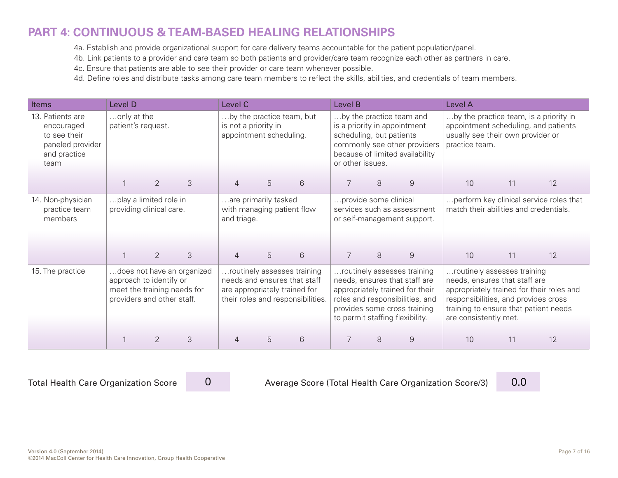## **[PART 4: CONTINUOUS & TEAM-BASED HEALING RELATIONSHIPS](http://www.safetynetmedicalhome.org/change-concepts/continuous-team-based-healing-relationships)**

4a. Establish and provide organizational support for care delivery teams accountable for the patient population/panel.

4b. Link patients to a provider and care team so both patients and provider/care team recognize each other as partners in care.

4c. Ensure that patients are able to see their provider or care team whenever possible.

4d. Define roles and distribute tasks among care team members to reflect the skills, abilities, and credentials of team members.

| <b>Items</b>                                                                               | Level D                           |                                                                                      |                            | Level C                                                                                                                           |                                                                              |                |                  | Level B                  |                                                                                                                                                                                                       |                                                                                                                                                                        | Level A |                                           |  |
|--------------------------------------------------------------------------------------------|-----------------------------------|--------------------------------------------------------------------------------------|----------------------------|-----------------------------------------------------------------------------------------------------------------------------------|------------------------------------------------------------------------------|----------------|------------------|--------------------------|-------------------------------------------------------------------------------------------------------------------------------------------------------------------------------------------------------|------------------------------------------------------------------------------------------------------------------------------------------------------------------------|---------|-------------------------------------------|--|
| 13. Patients are<br>encouraged<br>to see their<br>paneled provider<br>and practice<br>team | only at the<br>patient's request. |                                                                                      |                            |                                                                                                                                   | by the practice team, but<br>is not a priority in<br>appointment scheduling. |                | or other issues. | scheduling, but patients | by the practice team and<br>is a priority in appointment<br>commonly see other providers<br>because of limited availability                                                                           | by the practice team, is a priority in<br>appointment scheduling, and patients<br>usually see their own provider or<br>practice team.                                  |         |                                           |  |
|                                                                                            |                                   | 2                                                                                    | 3                          | 4                                                                                                                                 | 5                                                                            | 6              | 7                | 8                        | 9                                                                                                                                                                                                     | 10                                                                                                                                                                     | 11      | 12                                        |  |
| 14. Non-physician<br>practice team<br>members                                              |                                   | play a limited role in<br>providing clinical care.                                   |                            | and triage.                                                                                                                       | are primarily tasked<br>with managing patient flow                           |                |                  | provide some clinical    | services such as assessment<br>or self-management support.                                                                                                                                            | perform key clinical service roles that<br>match their abilities and credentials.                                                                                      |         |                                           |  |
|                                                                                            |                                   | $\overline{2}$                                                                       | 3                          | $\overline{4}$                                                                                                                    | 5                                                                            | $6\phantom{1}$ | $\overline{7}$   | 8                        | $\overline{9}$                                                                                                                                                                                        | 10                                                                                                                                                                     | 11      | 12                                        |  |
| 15. The practice                                                                           |                                   | approach to identify or<br>meet the training needs for<br>providers and other staff. | does not have an organized | routinely assesses training<br>needs and ensures that staff<br>are appropriately trained for<br>their roles and responsibilities. |                                                                              |                |                  |                          | routinely assesses training<br>needs, ensures that staff are<br>appropriately trained for their<br>roles and responsibilities, and<br>provides some cross training<br>to permit staffing flexibility. | routinely assesses training<br>needs, ensures that staff are<br>responsibilities, and provides cross<br>training to ensure that patient needs<br>are consistently met. |         | appropriately trained for their roles and |  |
|                                                                                            |                                   | $\overline{2}$                                                                       | 3                          | 4                                                                                                                                 | 5                                                                            | 6              |                  | 8                        | 9                                                                                                                                                                                                     | 10                                                                                                                                                                     | 11      | 12                                        |  |

0

Total Health Care Organization Score 0 Average Score (Total Health Care Organization Score/3) **0.0** 

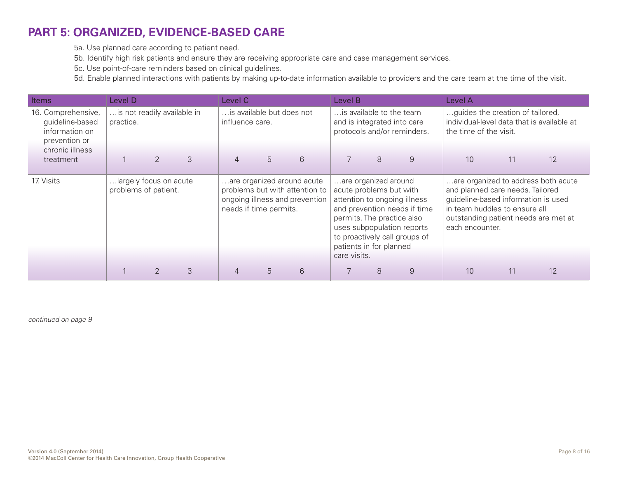## **[PART 5: ORGANIZED, EVIDENCE-BASED CARE](http://www.safetynetmedicalhome.org/change-concepts/organized-evidence-based-care)**

5a. Use planned care according to patient need.

5b. Identify high risk patients and ensure they are receiving appropriate care and case management services.

5c. Use point-of-care reminders based on clinical guidelines.

5d. Enable planned interactions with patients by making up-to-date information available to providers and the care team at the time of the visit.

| Items                                                                                       | Level D                                        |                |   | Level C                                                                                                                  |                           |   |                                                                                                                                                                                                                                                         | Level B |                                                            |                                                                                                                                                                                                            | Level A |    |  |
|---------------------------------------------------------------------------------------------|------------------------------------------------|----------------|---|--------------------------------------------------------------------------------------------------------------------------|---------------------------|---|---------------------------------------------------------------------------------------------------------------------------------------------------------------------------------------------------------------------------------------------------------|---------|------------------------------------------------------------|------------------------------------------------------------------------------------------------------------------------------------------------------------------------------------------------------------|---------|----|--|
| 16. Comprehensive,<br>guideline-based<br>information on<br>prevention or<br>chronic illness | is not readily available in<br>practice.       |                |   | influence care.                                                                                                          | is available but does not |   | is available to the team                                                                                                                                                                                                                                |         | and is integrated into care<br>protocols and/or reminders. | guides the creation of tailored,<br>individual-level data that is available at<br>the time of the visit.                                                                                                   |         |    |  |
| treatment                                                                                   |                                                | $\mathcal{P}$  | 3 | $\overline{4}$                                                                                                           | 5                         | 6 | $\overline{7}$                                                                                                                                                                                                                                          | 8       | 9                                                          | 10                                                                                                                                                                                                         | 11      | 12 |  |
| 17. Visits                                                                                  | largely focus on acute<br>problems of patient. |                |   | are organized around acute<br>problems but with attention to<br>ongoing illness and prevention<br>needs if time permits. |                           |   | are organized around<br>acute problems but with<br>attention to ongoing illness<br>and prevention needs if time<br>permits. The practice also<br>uses subpopulation reports<br>to proactively call groups of<br>patients in for planned<br>care visits. |         |                                                            | are organized to address both acute<br>and planned care needs. Tailored<br>guideline-based information is used<br>in team huddles to ensure all<br>outstanding patient needs are met at<br>each encounter. |         |    |  |
|                                                                                             |                                                | $\mathfrak{D}$ | 3 | $\overline{4}$                                                                                                           | 5                         | 6 | 7                                                                                                                                                                                                                                                       | 8       | 9                                                          | 10                                                                                                                                                                                                         | 11      | 12 |  |

*continued on page 9*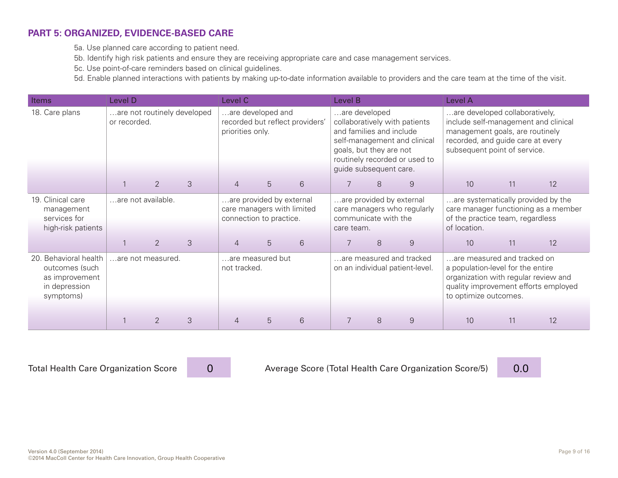#### **[PART 5: ORGANIZED, EVIDENCE-BASED CARE](http://www.safetynetmedicalhome.org/change-concepts/organized-evidence-based-care)**

5a. Use planned care according to patient need.

5b. Identify high risk patients and ensure they are receiving appropriate care and case management services.

5c. Use point-of-care reminders based on clinical guidelines.

5d. Enable planned interactions with patients by making up-to-date information available to providers and the care team at the time of the visit.

| Items                                                                                   | Level D            |                   |                             | Level C          |                                                                                   |                                 |                                                                                                | Level B                  |                                                                                                |                                                                                                                                                                                | Level A |                                      |  |
|-----------------------------------------------------------------------------------------|--------------------|-------------------|-----------------------------|------------------|-----------------------------------------------------------------------------------|---------------------------------|------------------------------------------------------------------------------------------------|--------------------------|------------------------------------------------------------------------------------------------|--------------------------------------------------------------------------------------------------------------------------------------------------------------------------------|---------|--------------------------------------|--|
| 18. Care plans                                                                          | or recorded.       |                   | are not routinely developed | priorities only. | are developed and                                                                 | recorded but reflect providers' | are developed<br>and families and include<br>goals, but they are not<br>guide subsequent care. |                          | collaboratively with patients<br>self-management and clinical<br>routinely recorded or used to | are developed collaboratively,<br>include self-management and clinical<br>management goals, are routinely<br>recorded, and guide care at every<br>subsequent point of service. |         |                                      |  |
|                                                                                         |                    | $\overline{2}$    | 3                           | 4                | 5                                                                                 | 6                               |                                                                                                | 8                        | 9                                                                                              | 10                                                                                                                                                                             | 11      | 12                                   |  |
| 19. Clinical care<br>management<br>services for<br>high-risk patients                   | are not available. |                   |                             |                  | are provided by external<br>care managers with limited<br>connection to practice. |                                 | communicate with the<br>care team.                                                             | are provided by external | care managers who regularly                                                                    | are systematically provided by the<br>of the practice team, regardless<br>of location.                                                                                         |         | care manager functioning as a member |  |
|                                                                                         |                    | 2                 | 3                           | 4                | 5                                                                                 | 6                               |                                                                                                | 8                        | $\overline{9}$                                                                                 | 10                                                                                                                                                                             | 11      | 12                                   |  |
| 20. Behavioral health<br>outcomes (such<br>as improvement<br>in depression<br>symptoms) |                    | are not measured. |                             | not tracked.     | are measured but                                                                  |                                 |                                                                                                |                          | are measured and tracked<br>on an individual patient-level.                                    | are measured and tracked on<br>a population-level for the entire<br>organization with regular review and<br>to optimize outcomes.                                              |         | quality improvement efforts employed |  |
|                                                                                         |                    | $\mathcal{P}$     | 3                           |                  | 5                                                                                 | 6                               |                                                                                                | 8                        | 9                                                                                              | 10                                                                                                                                                                             | 11      | 12                                   |  |

0

Total Health Care Organization Score (Dellingth Average Score (Total Health Care Organization Score/5) 10.0

Version 4.0 (September 2014) Page 9 of 16 ©2014 MacColl Center for Health Care Innovation, Group Health Cooperative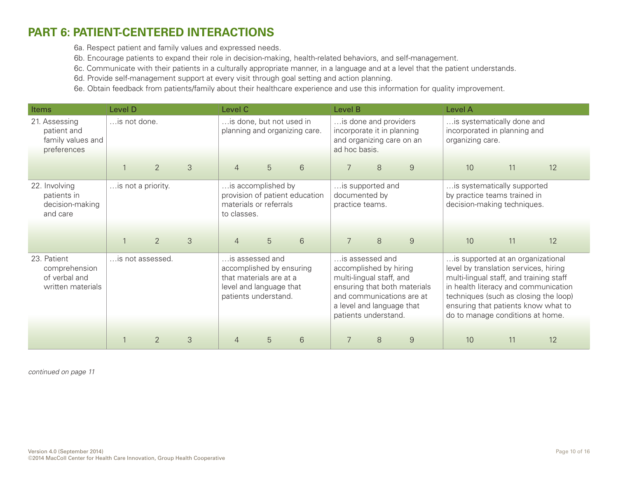## **[PART 6: PATIENT-CENTERED INTERACTIONS](http://www.safetynetmedicalhome.org/change-concepts/patient-centered-interactions)**

6a. Respect patient and family values and expressed needs.

6b. Encourage patients to expand their role in decision-making, health-related behaviors, and self-management.

6c. Communicate with their patients in a culturally appropriate manner, in a language and at a level that the patient understands.

6d. Provide self-management support at every visit through goal setting and action planning.

6e. Obtain feedback from patients/family about their healthcare experience and use this information for quality improvement.

| Items                                                              | Level D            |                                     |   |                                                                                                                           | Level C<br>Level B       |                                |                                                                                                                            |   |                                                           | Level A                                                                                                                                                                                                                                                                           |    |    |
|--------------------------------------------------------------------|--------------------|-------------------------------------|---|---------------------------------------------------------------------------------------------------------------------------|--------------------------|--------------------------------|----------------------------------------------------------------------------------------------------------------------------|---|-----------------------------------------------------------|-----------------------------------------------------------------------------------------------------------------------------------------------------------------------------------------------------------------------------------------------------------------------------------|----|----|
| 21. Assessing<br>patient and<br>family values and<br>preferences   |                    | is not done.<br>$\overline{2}$<br>3 |   |                                                                                                                           | is done, but not used in | planning and organizing care.  | is done and providers<br>incorporate it in planning<br>and organizing care on an<br>ad hoc basis.                          |   |                                                           | is systematically done and<br>incorporated in planning and<br>organizing care.                                                                                                                                                                                                    |    |    |
|                                                                    |                    |                                     |   | $\overline{4}$                                                                                                            | 5                        | $6\phantom{1}6$                | 7                                                                                                                          | 8 | $\overline{9}$                                            | 10                                                                                                                                                                                                                                                                                | 11 | 12 |
| 22. Involving<br>patients in<br>decision-making<br>and care        | is not a priority. |                                     |   | is accomplished by<br>materials or referrals<br>to classes.                                                               |                          | provision of patient education | is supported and<br>documented by<br>practice teams.                                                                       |   |                                                           | is systematically supported<br>by practice teams trained in<br>decision-making techniques.                                                                                                                                                                                        |    |    |
|                                                                    |                    | $\overline{2}$                      | 3 | $\overline{4}$                                                                                                            | 5                        | $6\phantom{1}$                 | $\overline{7}$                                                                                                             | 8 | $\overline{9}$                                            | 10                                                                                                                                                                                                                                                                                | 11 | 12 |
| 23. Patient<br>comprehension<br>of verbal and<br>written materials | is not assessed.   |                                     |   | is assessed and<br>accomplished by ensuring<br>that materials are at a<br>level and language that<br>patients understand. |                          |                                | is assessed and<br>accomplished by hiring<br>multi-lingual staff, and<br>a level and language that<br>patients understand. |   | ensuring that both materials<br>and communications are at | is supported at an organizational<br>level by translation services, hiring<br>multi-lingual staff, and training staff<br>in health literacy and communication<br>techniques (such as closing the loop)<br>ensuring that patients know what to<br>do to manage conditions at home. |    |    |
|                                                                    |                    |                                     |   |                                                                                                                           |                          |                                |                                                                                                                            |   |                                                           |                                                                                                                                                                                                                                                                                   |    |    |
|                                                                    |                    | $\overline{2}$                      | 3 | $\overline{4}$                                                                                                            | 5                        | 6                              | 7                                                                                                                          | 8 | 9                                                         | 10                                                                                                                                                                                                                                                                                | 11 | 12 |

*continued on page 11*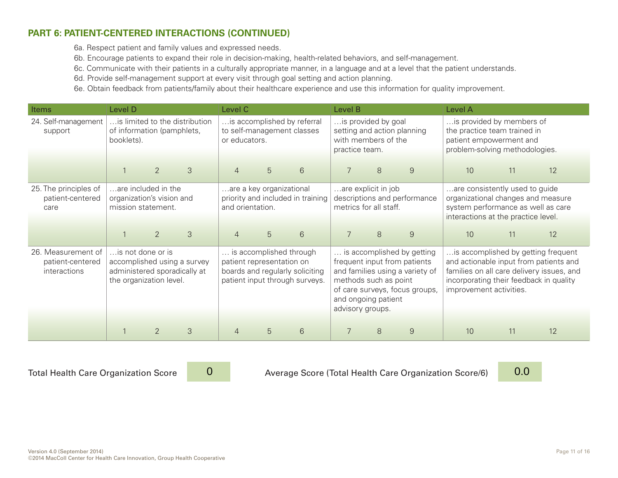#### **[PART 6: PATIENT-CENTERED INTERACTIONS \(CONTINUED\)](http://www.safetynetmedicalhome.org/change-concepts/patient-centered-interactions)**

6a. Respect patient and family values and expressed needs.

6b. Encourage patients to expand their role in decision-making, health-related behaviors, and self-management.

6c. Communicate with their patients in a culturally appropriate manner, in a language and at a level that the patient understands.

6d. Provide self-management support at every visit through goal setting and action planning.

6e. Obtain feedback from patients/family about their healthcare experience and use this information for quality improvement.

| Items                                                  | Level D                                                                                           |                                                                              |                             | Level C                                                                                                                   |                          |                                                           | Level B                                                                                                                                                                                             |                                               |                              | Level A                                                                                                                |                                                                                                                                                   |                                                                                                                            |  |
|--------------------------------------------------------|---------------------------------------------------------------------------------------------------|------------------------------------------------------------------------------|-----------------------------|---------------------------------------------------------------------------------------------------------------------------|--------------------------|-----------------------------------------------------------|-----------------------------------------------------------------------------------------------------------------------------------------------------------------------------------------------------|-----------------------------------------------|------------------------------|------------------------------------------------------------------------------------------------------------------------|---------------------------------------------------------------------------------------------------------------------------------------------------|----------------------------------------------------------------------------------------------------------------------------|--|
| 24. Self-management<br>support                         | is limited to the distribution<br>of information (pamphlets,<br>booklets).<br>$\overline{2}$<br>3 |                                                                              |                             | or educators.                                                                                                             |                          | is accomplished by referral<br>to self-management classes | practice team.                                                                                                                                                                                      | is provided by goal<br>with members of the    | setting and action planning  | is provided by members of<br>the practice team trained in<br>patient empowerment and<br>problem-solving methodologies. |                                                                                                                                                   |                                                                                                                            |  |
|                                                        |                                                                                                   |                                                                              |                             | $\overline{4}$                                                                                                            | 5                        | 6                                                         |                                                                                                                                                                                                     | 8                                             | 9                            | 10                                                                                                                     | 11                                                                                                                                                | 12                                                                                                                         |  |
| 25. The principles of<br>patient-centered<br>care      |                                                                                                   | are included in the<br>organization's vision and<br>mission statement.       |                             | and orientation.                                                                                                          | are a key organizational | priority and included in training                         |                                                                                                                                                                                                     | are explicit in job<br>metrics for all staff. | descriptions and performance |                                                                                                                        | are consistently used to guide<br>organizational changes and measure<br>system performance as well as care<br>interactions at the practice level. |                                                                                                                            |  |
|                                                        |                                                                                                   | $\overline{2}$                                                               | 3                           | $\overline{4}$                                                                                                            | 5                        | 6                                                         |                                                                                                                                                                                                     | 8                                             | 9                            | 10                                                                                                                     | 11                                                                                                                                                | 12                                                                                                                         |  |
| 26. Measurement of<br>patient-centered<br>interactions |                                                                                                   | is not done or is<br>administered sporadically at<br>the organization level. | accomplished using a survey | is accomplished through<br>patient representation on<br>boards and regularly soliciting<br>patient input through surveys. |                          |                                                           | is accomplished by getting<br>frequent input from patients<br>and families using a variety of<br>methods such as point<br>of care surveys, focus groups,<br>and ongoing patient<br>advisory groups. |                                               |                              | incorporating their feedback in quality<br>improvement activities.                                                     |                                                                                                                                                   | is accomplished by getting frequent<br>and actionable input from patients and<br>families on all care delivery issues, and |  |
|                                                        |                                                                                                   |                                                                              |                             |                                                                                                                           |                          |                                                           |                                                                                                                                                                                                     |                                               |                              |                                                                                                                        |                                                                                                                                                   |                                                                                                                            |  |
|                                                        |                                                                                                   | $\mathfrak{D}$                                                               | 3                           |                                                                                                                           | 5                        | 6                                                         |                                                                                                                                                                                                     | 8                                             | 9                            | 10                                                                                                                     | 11                                                                                                                                                | 12                                                                                                                         |  |

0

Total Health Care Organization Score 20 20 20 Average Score (Total Health Care Organization Score/6) 2000 10:0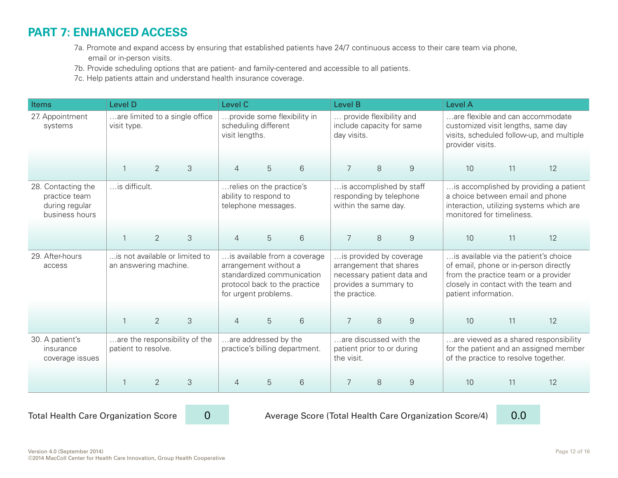## **[PART 7: ENHANCED ACCESS](http://www.safetynetmedicalhome.org/change-concepts/enhanced-access)**

- 7a. Promote and expand access by ensuring that established patients have 24/7 continuous access to their care team via phone, email or in-person visits.
- 7b. Provide scheduling options that are patient- and family-centered and accessible to all patients.
- 7c. Help patients attain and understand health insurance coverage.

| <b>Items</b>                                                            | Level D                                                 |                |                                | Level C<br>Level B<br>provide some flexibility in                                                                                            |                                                                          |   |                                                                     |   |                                                       | <b>Level A</b>                                                                                                                                                                         |                                                                                                                                                     |                                                                                 |  |
|-------------------------------------------------------------------------|---------------------------------------------------------|----------------|--------------------------------|----------------------------------------------------------------------------------------------------------------------------------------------|--------------------------------------------------------------------------|---|---------------------------------------------------------------------|---|-------------------------------------------------------|----------------------------------------------------------------------------------------------------------------------------------------------------------------------------------------|-----------------------------------------------------------------------------------------------------------------------------------------------------|---------------------------------------------------------------------------------|--|
| 27. Appointment<br>systems                                              | visit type.                                             |                | are limited to a single office | visit lengths.                                                                                                                               | scheduling different                                                     |   | provide flexibility and<br>include capacity for same<br>day visits. |   |                                                       | are flexible and can accommodate<br>customized visit lengths, same day<br>provider visits.                                                                                             |                                                                                                                                                     | visits, scheduled follow-up, and multiple                                       |  |
|                                                                         | $\mathbf{1}$                                            | $\overline{2}$ | 3                              | $\overline{4}$                                                                                                                               | $\overline{5}$                                                           | 6 | $\overline{7}$                                                      | 8 | $\hbox{9}$                                            | 10                                                                                                                                                                                     | 11                                                                                                                                                  | 12                                                                              |  |
| 28. Contacting the<br>practice team<br>during regular<br>business hours | is difficult.                                           |                |                                |                                                                                                                                              | relies on the practice's<br>ability to respond to<br>telephone messages. |   | responding by telephone<br>within the same day.                     |   | is accomplished by staff                              |                                                                                                                                                                                        | is accomplished by providing a patient<br>a choice between email and phone<br>interaction, utilizing systems which are<br>monitored for timeliness. |                                                                                 |  |
|                                                                         | $\mathbf{1}$                                            | $\overline{2}$ | 3                              | 5<br>6<br>4                                                                                                                                  |                                                                          |   | $\overline{7}$                                                      | 8 | $\boldsymbol{9}$                                      | 10                                                                                                                                                                                     | 11                                                                                                                                                  | 12                                                                              |  |
| 29. After-hours<br>access                                               | is not available or limited to<br>an answering machine. |                |                                | is available from a coverage<br>arrangement without a<br>standardized communication<br>protocol back to the practice<br>for urgent problems. |                                                                          |   | arrangement that shares<br>provides a summary to<br>the practice.   |   | is provided by coverage<br>necessary patient data and | is available via the patient's choice<br>of email, phone or in-person directly<br>from the practice team or a provider<br>closely in contact with the team and<br>patient information. |                                                                                                                                                     |                                                                                 |  |
|                                                                         | $\mathbf{1}$                                            | 2              | 3                              | $\overline{4}$                                                                                                                               | 5                                                                        | 6 | $\overline{7}$                                                      | 8 | $\overline{9}$                                        | 10                                                                                                                                                                                     | 11                                                                                                                                                  | 12                                                                              |  |
| 30. A patient's<br>insurance<br>coverage issues                         | are the responsibility of the<br>patient to resolve.    |                |                                | are addressed by the<br>practice's billing department.                                                                                       |                                                                          |   | are discussed with the<br>patient prior to or during<br>the visit.  |   |                                                       | of the practice to resolve together.                                                                                                                                                   |                                                                                                                                                     | are viewed as a shared responsibility<br>for the patient and an assigned member |  |
|                                                                         |                                                         | $\overline{2}$ | 3                              | 4                                                                                                                                            | 5                                                                        | 6 |                                                                     | 8 | 9                                                     | 10                                                                                                                                                                                     | 11                                                                                                                                                  | 12                                                                              |  |

0

Total Health Care Organization Score 20 20 20 20 Average Score (Total Health Care Organization Score/4) 2000 10

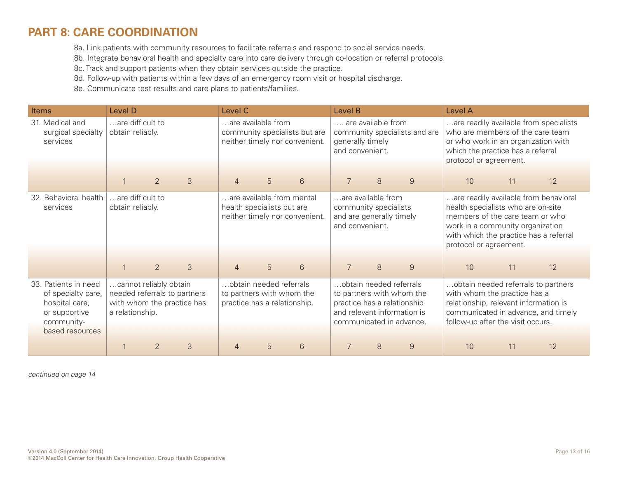## **[PART 8: CARE COORDINATION](http://www.safetynetmedicalhome.org/change-concepts/care-coordination)**

8a. Link patients with community resources to facilitate referrals and respond to social service needs.

8b. Integrate behavioral health and specialty care into care delivery through co-location or referral protocols.

8c. Track and support patients when they obtain services outside the practice.

8d. Follow-up with patients within a few days of an emergency room visit or hospital discharge.

8e. Communicate test results and care plans to patients/families.

| <b>Items</b>                                                                                                   | <b>Level D</b>                                                            |                |                            | Level C        |                                                                                      | Level B                                                         |                                                                                                                                                |   | Level A                       |                                                                                                                                                                                                                        |    |                                        |
|----------------------------------------------------------------------------------------------------------------|---------------------------------------------------------------------------|----------------|----------------------------|----------------|--------------------------------------------------------------------------------------|-----------------------------------------------------------------|------------------------------------------------------------------------------------------------------------------------------------------------|---|-------------------------------|------------------------------------------------------------------------------------------------------------------------------------------------------------------------------------------------------------------------|----|----------------------------------------|
| 31. Medical and<br>surgical specialty<br>services                                                              | are difficult to<br>obtain reliably.                                      |                |                            |                | are available from                                                                   | community specialists but are<br>neither timely nor convenient. | are available from<br>generally timely<br>and convenient.                                                                                      |   | community specialists and are | who are members of the care team<br>or who work in an organization with<br>which the practice has a referral<br>protocol or agreement.                                                                                 |    | are readily available from specialists |
|                                                                                                                |                                                                           | 2              | 3                          | $\overline{4}$ | 5                                                                                    | 6                                                               | $\overline{7}$                                                                                                                                 | 8 | $\overline{9}$                | 10                                                                                                                                                                                                                     | 11 | 12                                     |
| 32. Behavioral health<br>services                                                                              | are difficult to<br>obtain reliably.                                      |                |                            |                | are available from mental<br>health specialists but are                              | neither timely nor convenient.                                  | are available from<br>community specialists<br>and are generally timely<br>and convenient.                                                     |   |                               | are readily available from behavioral<br>health specialists who are on-site<br>members of the care team or who<br>work in a community organization<br>with which the practice has a referral<br>protocol or agreement. |    |                                        |
|                                                                                                                | $\mathbf{1}$                                                              | 2              | 3                          | $\overline{4}$ | 5                                                                                    | 6                                                               | 7                                                                                                                                              | 8 | 9                             | 10                                                                                                                                                                                                                     | 11 | 12                                     |
| 33. Patients in need<br>of specialty care,<br>hospital care,<br>or supportive<br>community-<br>based resources | cannot reliably obtain<br>needed referrals to partners<br>a relationship. |                | with whom the practice has |                | obtain needed referrals<br>to partners with whom the<br>practice has a relationship. |                                                                 | obtain needed referrals<br>to partners with whom the<br>practice has a relationship<br>and relevant information is<br>communicated in advance. |   |                               | obtain needed referrals to partners<br>with whom the practice has a<br>relationship, relevant information is<br>communicated in advance, and timely<br>follow-up after the visit occurs.                               |    |                                        |
|                                                                                                                |                                                                           | $\overline{2}$ | 3                          | $\overline{4}$ | 5                                                                                    | 6                                                               | $\overline{9}$<br>8                                                                                                                            |   |                               | 10                                                                                                                                                                                                                     | 11 | 12                                     |

*continued on page 14*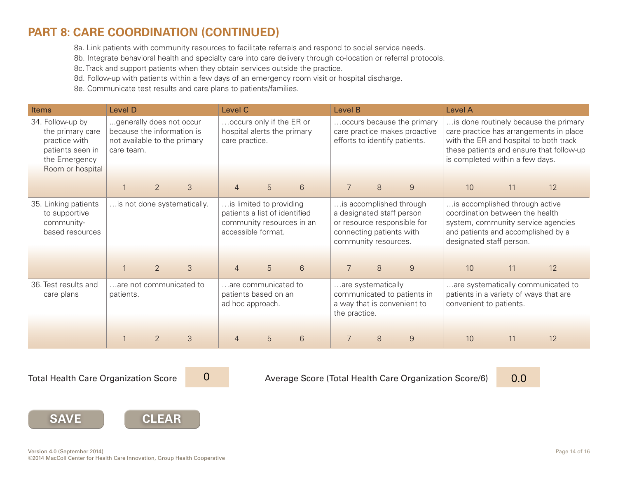## **[PART 8: CARE COORDINATION \(CONTINUED\)](http://www.safetynetmedicalhome.org/change-concepts/care-coordination)**

8a. Link patients with community resources to facilitate referrals and respond to social service needs.

8b. Integrate behavioral health and specialty care into care delivery through co-location or referral protocols.

8c. Track and support patients when they obtain services outside the practice.

8d. Follow-up with patients within a few days of an emergency room visit or hospital discharge.

8e. Communicate test results and care plans to patients/families.

| Items                                                                                                          | <b>Level D</b>                                                                                       |                             |   | Level C                                                                   |                                                                                                             |       | Level B                                                                                           |                                                                                              |                                                                                     | Level A                                                                                                                                                                   |                                                                                                                                                                        |                                    |
|----------------------------------------------------------------------------------------------------------------|------------------------------------------------------------------------------------------------------|-----------------------------|---|---------------------------------------------------------------------------|-------------------------------------------------------------------------------------------------------------|-------|---------------------------------------------------------------------------------------------------|----------------------------------------------------------------------------------------------|-------------------------------------------------------------------------------------|---------------------------------------------------------------------------------------------------------------------------------------------------------------------------|------------------------------------------------------------------------------------------------------------------------------------------------------------------------|------------------------------------|
| 34. Follow-up by<br>the primary care<br>practice with<br>patients seen in<br>the Emergency<br>Room or hospital | generally does not occur<br>because the information is<br>not available to the primary<br>care team. |                             |   | occurs only if the ER or<br>hospital alerts the primary<br>care practice. |                                                                                                             |       |                                                                                                   | occurs because the primary<br>care practice makes proactive<br>efforts to identify patients. | is completed within a few days.                                                     |                                                                                                                                                                           | is done routinely because the primary<br>care practice has arrangements in place<br>with the ER and hospital to both track<br>these patients and ensure that follow-up |                                    |
|                                                                                                                |                                                                                                      | $\overline{2}$              | 3 | $\overline{4}$                                                            | 5                                                                                                           | $6\,$ | $\overline{7}$                                                                                    | 8                                                                                            | $9$                                                                                 | 10                                                                                                                                                                        | 11                                                                                                                                                                     | 12                                 |
| 35. Linking patients<br>to supportive<br>community-<br>based resources                                         |                                                                                                      | is not done systematically. |   |                                                                           | is limited to providing<br>patients a list of identified<br>community resources in an<br>accessible format. |       |                                                                                                   | connecting patients with<br>community resources.                                             | is accomplished through<br>a designated staff person<br>or resource responsible for | is accomplished through active<br>coordination between the health<br>system, community service agencies<br>and patients and accomplished by a<br>designated staff person. |                                                                                                                                                                        |                                    |
|                                                                                                                |                                                                                                      | 2                           | 3 | $\overline{4}$                                                            | 5                                                                                                           | 6     | $\overline{7}$                                                                                    | 8                                                                                            | 9                                                                                   | 10                                                                                                                                                                        | 11                                                                                                                                                                     | 12                                 |
| 36. Test results and<br>care plans                                                                             | patients.                                                                                            | are not communicated to     |   | are communicated to<br>patients based on an<br>ad hoc approach.           |                                                                                                             |       | are systematically<br>communicated to patients in<br>a way that is convenient to<br>the practice. |                                                                                              |                                                                                     | patients in a variety of ways that are<br>convenient to patients.                                                                                                         |                                                                                                                                                                        | are systematically communicated to |
|                                                                                                                |                                                                                                      |                             |   |                                                                           |                                                                                                             |       |                                                                                                   |                                                                                              |                                                                                     |                                                                                                                                                                           |                                                                                                                                                                        |                                    |
|                                                                                                                |                                                                                                      | $\overline{2}$              | 3 | 6<br>5<br>$\overline{4}$                                                  |                                                                                                             |       | $\overline{7}$                                                                                    | 8                                                                                            | 9                                                                                   | 10                                                                                                                                                                        | 11                                                                                                                                                                     | 12                                 |

0

Total Health Care Organization Score 20 20 Merage Score (Total Health Care Organization Score/6) 2000 10:00 10



**SAVE**

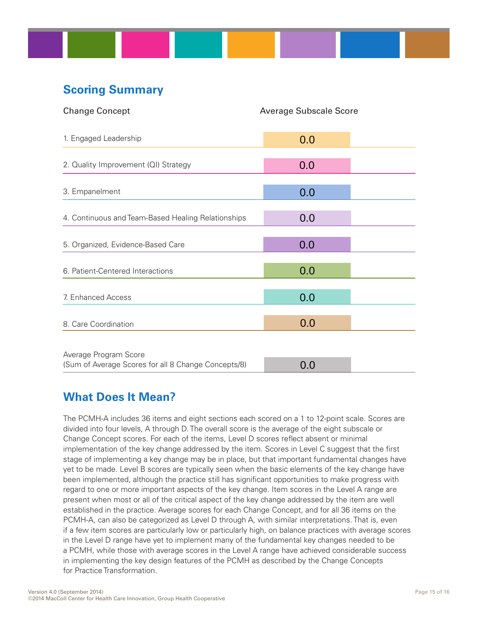# **Scoring Summary**

| <b>Change Concept</b>                               | <b>Average Subscale Score</b> |  |
|-----------------------------------------------------|-------------------------------|--|
| 1. Engaged Leadership                               | 0.0                           |  |
| 2. Quality Improvement (QI) Strategy                | 0.0                           |  |
| 3. Empanelment                                      | 0.0                           |  |
| 4. Continuous and Team-Based Healing Relationships  | 0.0                           |  |
| 5. Organized, Evidence-Based Care                   | 0.0                           |  |
| 6. Patient-Centered Interactions                    | 0.0                           |  |
| 7. Enhanced Access                                  | 0.0                           |  |
| 8. Care Coordination                                | 0.0                           |  |
| Average Program Score                               |                               |  |
| (Sum of Average Scores for all 8 Change Concepts/8) | 0.0                           |  |

## **What Does It Mean?**

The PCMH-A includes 36 items and eight sections each scored on a 1 to 12-point scale. Scores are divided into four levels, A through D. The overall score is the average of the eight subscale or Change Concept scores. For each of the items, Level D scores reflect absent or minimal implementation of the key change addressed by the item. Scores in Level C suggest that the first stage of implementing a key change may be in place, but that important fundamental changes have yet to be made. Level B scores are typically seen when the basic elements of the key change have been implemented, although the practice still has significant opportunities to make progress with regard to one or more important aspects of the key change. Item scores in the Level A range are present when most or all of the critical aspect of the key change addressed by the item are well established in the practice. Average scores for each Change Concept, and for all 36 items on the PCMH-A, can also be categorized as Level D through A, with similar interpretations. That is, even if a few item scores are particularly low or particularly high, on balance practices with average scores in the Level D range have yet to implement many of the fundamental key changes needed to be a PCMH, while those with average scores in the Level A range have achieved considerable success in implementing the key design features of the PCMH as described by the Change Concepts for Practice Transformation.